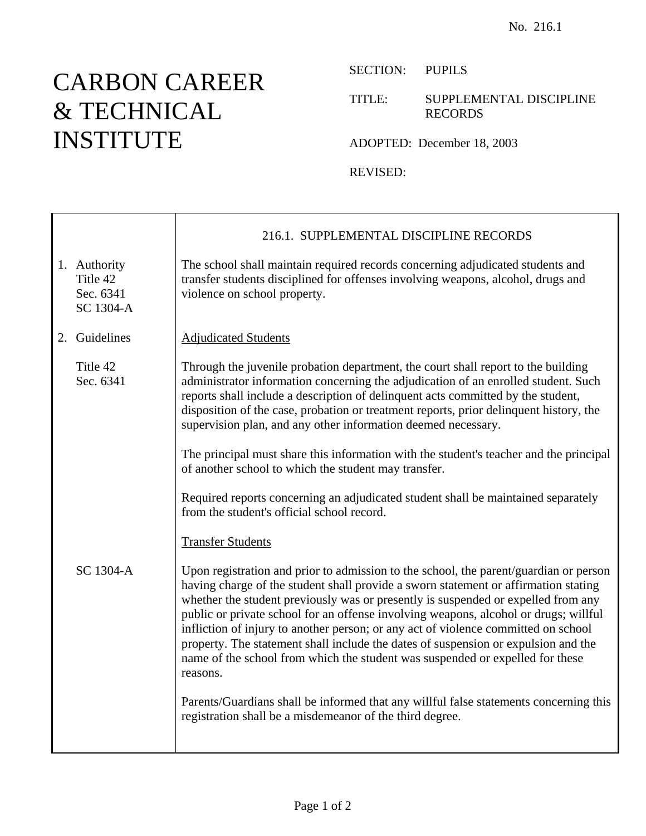## CARBON CAREER & TECHNICAL INSTITUTE

Ē

SECTION: PUPILS

## TITLE: SUPPLEMENTAL DISCIPLINE RECORDS

ADOPTED: December 18, 2003

REVISED:

|                                                    | 216.1. SUPPLEMENTAL DISCIPLINE RECORDS                                                                                                                                                                                                                                                                                                                                                                                                                                                                                                                                                                                             |
|----------------------------------------------------|------------------------------------------------------------------------------------------------------------------------------------------------------------------------------------------------------------------------------------------------------------------------------------------------------------------------------------------------------------------------------------------------------------------------------------------------------------------------------------------------------------------------------------------------------------------------------------------------------------------------------------|
| 1. Authority<br>Title 42<br>Sec. 6341<br>SC 1304-A | The school shall maintain required records concerning adjudicated students and<br>transfer students disciplined for offenses involving weapons, alcohol, drugs and<br>violence on school property.                                                                                                                                                                                                                                                                                                                                                                                                                                 |
| 2. Guidelines                                      | <b>Adjudicated Students</b>                                                                                                                                                                                                                                                                                                                                                                                                                                                                                                                                                                                                        |
| Title 42<br>Sec. 6341                              | Through the juvenile probation department, the court shall report to the building<br>administrator information concerning the adjudication of an enrolled student. Such<br>reports shall include a description of delinquent acts committed by the student,<br>disposition of the case, probation or treatment reports, prior delinquent history, the<br>supervision plan, and any other information deemed necessary.                                                                                                                                                                                                             |
|                                                    | The principal must share this information with the student's teacher and the principal<br>of another school to which the student may transfer.                                                                                                                                                                                                                                                                                                                                                                                                                                                                                     |
|                                                    | Required reports concerning an adjudicated student shall be maintained separately<br>from the student's official school record.                                                                                                                                                                                                                                                                                                                                                                                                                                                                                                    |
|                                                    | <b>Transfer Students</b>                                                                                                                                                                                                                                                                                                                                                                                                                                                                                                                                                                                                           |
| SC 1304-A                                          | Upon registration and prior to admission to the school, the parent/guardian or person<br>having charge of the student shall provide a sworn statement or affirmation stating<br>whether the student previously was or presently is suspended or expelled from any<br>public or private school for an offense involving weapons, alcohol or drugs; willful<br>infliction of injury to another person; or any act of violence committed on school<br>property. The statement shall include the dates of suspension or expulsion and the<br>name of the school from which the student was suspended or expelled for these<br>reasons. |
|                                                    | Parents/Guardians shall be informed that any willful false statements concerning this<br>registration shall be a misdemeanor of the third degree.                                                                                                                                                                                                                                                                                                                                                                                                                                                                                  |
|                                                    |                                                                                                                                                                                                                                                                                                                                                                                                                                                                                                                                                                                                                                    |